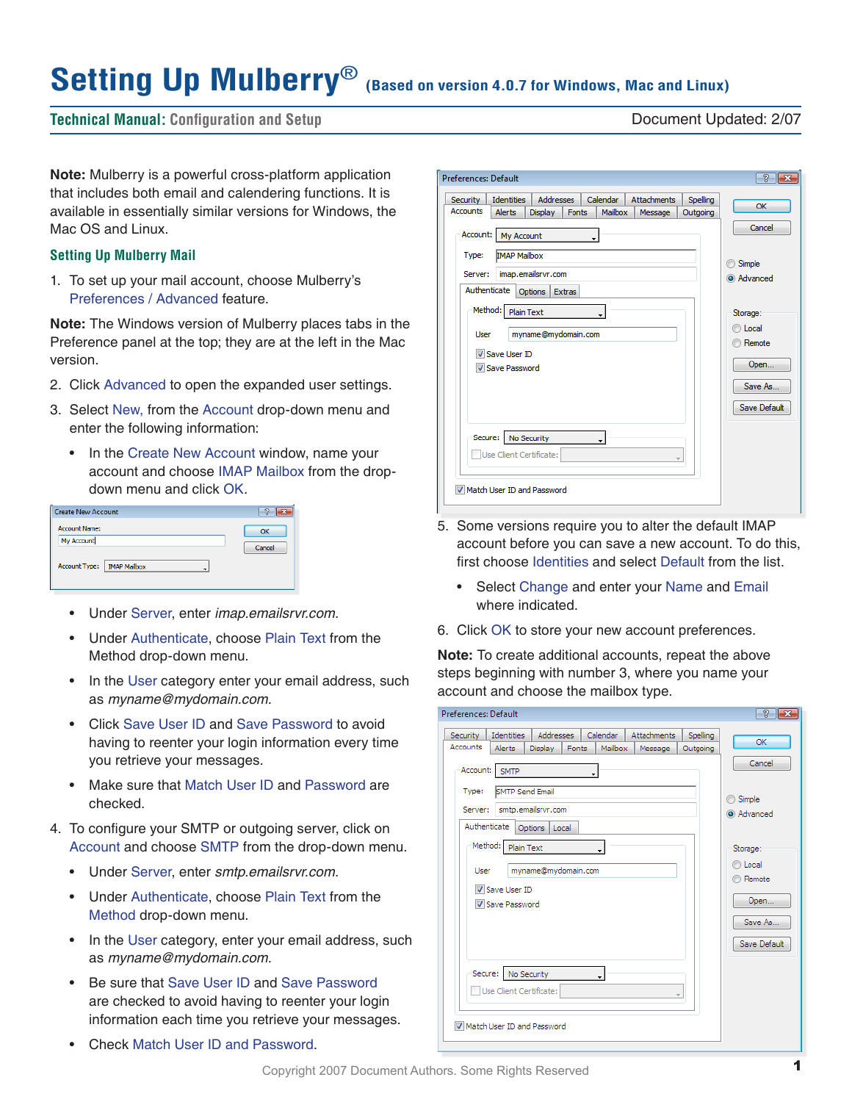# Setting Up Mulberry<sup>®</sup> (Based on version 4.0.7 for Windows, Mac and Linux)

**Technical Manual: Configuration and Setup** Document Updated: 2/07

**Note:** Mulberry is a powerful cross-platform application that includes both email and calendering functions. It is available in essentially similar versions for Windows, the Mac OS and Linux.

#### **Setting Up Mulberry Mail**

1. To set up your mail account, choose Mulberry's Preferences / Advanced feature.

**Note:** The Windows version of Mulberry places tabs in the Preference panel at the top; they are at the left in the Mac version.

- 2. Click Advanced to open the expanded user settings.
- 3. Select New, from the Account drop-down menu and enter the following information:
	- In the Create New Account window, name your account and choose IMAP Mailbox from the dropdown menu and click OK.

| <b>Create New Account</b>          |        |
|------------------------------------|--------|
| <b>Account Name:</b><br>My Account |        |
| Account Type:   IMAP Mailbox       | Cancel |

- • Under Server, enter *imap.emailsrvr.com.*
- • Under Authenticate, choose Plain Text from the Method drop-down menu.
- In the User category enter your email address, such as *myname@mydomain.com.*
- • Click Save User ID and Save Password to avoid having to reenter your login information every time you retrieve your messages.
- Make sure that Match User ID and Password are checked.
- 4. To configure your SMTP or outgoing server, click on Account and choose SMTP from the drop-down menu.
	- • Under Server, enter *smtp.emailsrvr.com.*
	- Under Authenticate, choose Plain Text from the Method drop-down menu.
	- In the User category, enter your email address, such as *myname@mydomain.com.*
	- Be sure that Save User ID and Save Password are checked to avoid having to reenter your login information each time you retrieve your messages.
	- Check Match User ID and Password.

- 5. Some versions require you to alter the default IMAP account before you can save a new account. To do this, first choose Identities and select Default from the list.
	- Select Change and enter your Name and Email where indicated.
- 6. Click OK to store your new account preferences.

**Note:** To create additional accounts, repeat the above steps beginning with number 3, where you name your account and choose the mailbox type.

| Preferences: Default                                                                                                                                                                         | $\overline{R}$                                   |
|----------------------------------------------------------------------------------------------------------------------------------------------------------------------------------------------|--------------------------------------------------|
| <b>Addresses</b><br>Calendar<br>Attachments<br><b>Identities</b><br>Spelling<br>Security<br>Accounts<br><b>Alerts</b><br>Mailbox<br>Display<br>Fonts<br>Outgoing<br>Message<br>Account: SMTP | OK<br>Cancel                                     |
| SMTP Send Email<br>Type:<br>smtp.emailsrvr.com<br>Server:<br>Authenticate<br>Options  <br>Local<br>Method: Plain Text                                                                        | Simple<br>∩<br>a Advanced                        |
| $\cdot$<br>myname@mydomain.com<br>User<br>V Save User ID<br>Save Password                                                                                                                    | Storage:<br>C Local<br>Remote<br>Open<br>Save As |
| No Security<br>Secure:<br>$\bullet$<br>Use Client Certificate:<br>$\overline{\mathbf{v}}$<br>Match User ID and Password                                                                      | Save Default                                     |